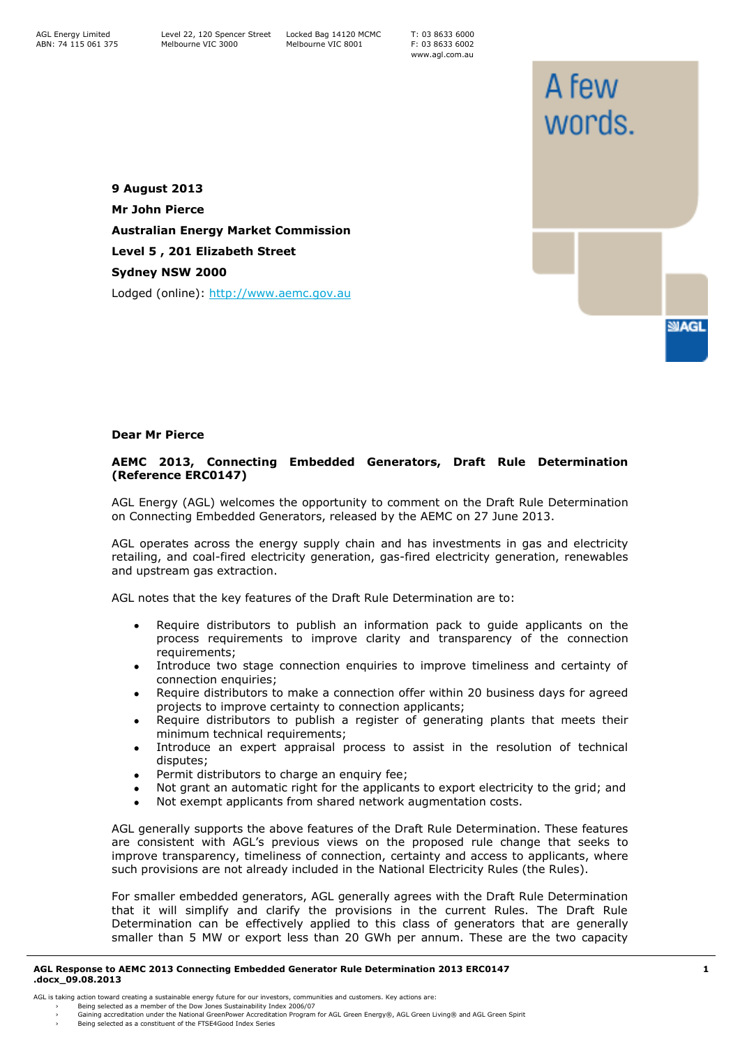T: 03 8633 6000 F: 03 8633 6002 www.agl.com.au

A few

words.

**SMAGL** 

**9 August 2013 Mr John Pierce Australian Energy Market Commission Level 5 , 201 Elizabeth Street Sydney NSW 2000** Lodged (online): [http://www.aemc.gov.au](http://www.aemc.gov.au/)

## **Dear Mr Pierce**

## **AEMC 2013, Connecting Embedded Generators, Draft Rule Determination (Reference ERC0147)**

AGL Energy (AGL) welcomes the opportunity to comment on the Draft Rule Determination on Connecting Embedded Generators, released by the AEMC on 27 June 2013.

AGL operates across the energy supply chain and has investments in gas and electricity retailing, and coal-fired electricity generation, gas-fired electricity generation, renewables and upstream gas extraction.

AGL notes that the key features of the Draft Rule Determination are to:

- Require distributors to publish an information pack to guide applicants on the process requirements to improve clarity and transparency of the connection requirements;
- Introduce two stage connection enquiries to improve timeliness and certainty of connection enquiries;
- Require distributors to make a connection offer within 20 business days for agreed projects to improve certainty to connection applicants;
- Require distributors to publish a register of generating plants that meets their minimum technical requirements;
- Introduce an expert appraisal process to assist in the resolution of technical  $\bullet$ disputes;
- Permit distributors to charge an enquiry fee;
- Not grant an automatic right for the applicants to export electricity to the grid; and
- Not exempt applicants from shared network augmentation costs.

AGL generally supports the above features of the Draft Rule Determination. These features are consistent with AGL's previous views on the proposed rule change that seeks to improve transparency, timeliness of connection, certainty and access to applicants, where such provisions are not already included in the National Electricity Rules (the Rules).

For smaller embedded generators, AGL generally agrees with the Draft Rule Determination that it will simplify and clarify the provisions in the current Rules. The Draft Rule Determination can be effectively applied to this class of generators that are generally smaller than 5 MW or export less than 20 GWh per annum. These are the two capacity

## **AGL Response to AEMC 2013 Connecting Embedded Generator Rule Determination 2013 ERC0147 .docx\_09.08.2013**

AGL is taking action toward creating a sustainable energy future for our investors, communities and customers. Key actions are: